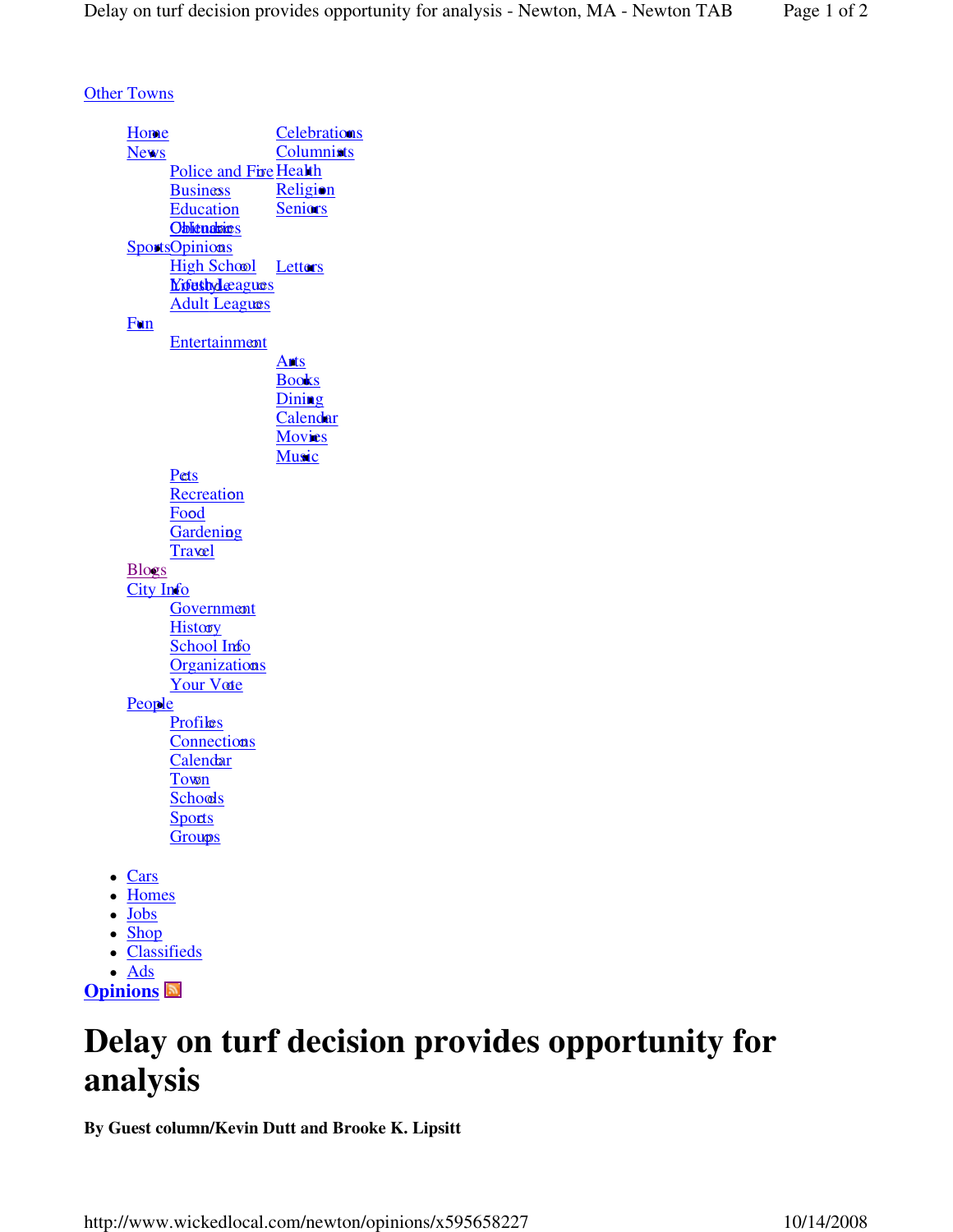**Other Towns** 

| <b>Home</b>   |                                    | <b>Celebrations</b> |
|---------------|------------------------------------|---------------------|
| <b>News</b>   |                                    | <b>Columnists</b>   |
|               | Police and Fire Health             |                     |
|               |                                    |                     |
|               | <b>Business</b>                    | Religion            |
|               | Education                          | <b>Seniors</b>      |
|               | <b>Oblicualizes</b>                |                     |
|               | <b>SportsOpinions</b>              |                     |
|               | <b>High School</b>                 | Letters             |
|               | <b><i><u>Mifushdeagues</u></i></b> |                     |
|               | <b>Adult Leagues</b>               |                     |
| Fun           |                                    |                     |
|               |                                    |                     |
|               | <b>Entertainment</b>               |                     |
|               |                                    | Ants                |
|               |                                    | <b>Books</b>        |
|               |                                    | Dining              |
|               |                                    | Calendar            |
|               |                                    | Movies              |
|               |                                    | <b>Music</b>        |
|               | Pets                               |                     |
|               | Recreation                         |                     |
|               | Food                               |                     |
|               |                                    |                     |
|               | <b>Gardening</b>                   |                     |
|               | <b>Travel</b>                      |                     |
| <b>Blogs</b>  |                                    |                     |
| City Info     |                                    |                     |
|               | Government                         |                     |
|               | <b>History</b>                     |                     |
|               | School Info                        |                     |
|               | <b>Organizations</b>               |                     |
|               | <b>Your Vote</b>                   |                     |
|               |                                    |                     |
| <b>People</b> |                                    |                     |
|               | Profiles                           |                     |
|               | Connections                        |                     |
|               | Calendar                           |                     |
|               | Town                               |                     |
|               | <b>Schools</b>                     |                     |
|               | Sports                             |                     |
|               | <b>Groups</b>                      |                     |
|               |                                    |                     |
| Cars          |                                    |                     |
|               |                                    |                     |
| <b>Homes</b>  |                                    |                     |
| <b>Jobs</b>   |                                    |                     |
| · Shop        |                                    |                     |
| $\bullet$     | <b>Classifieds</b>                 |                     |

 $\bullet$   $\overline{\mathrm{Ads}}$ **Opinions**

## **Delay on turf decision provides opportunity for analysis**

**By Guest column/Kevin Dutt and Brooke K. Lipsitt** 

http://www.wickedlocal.com/newton/opinions/x595658227 10/14/2008